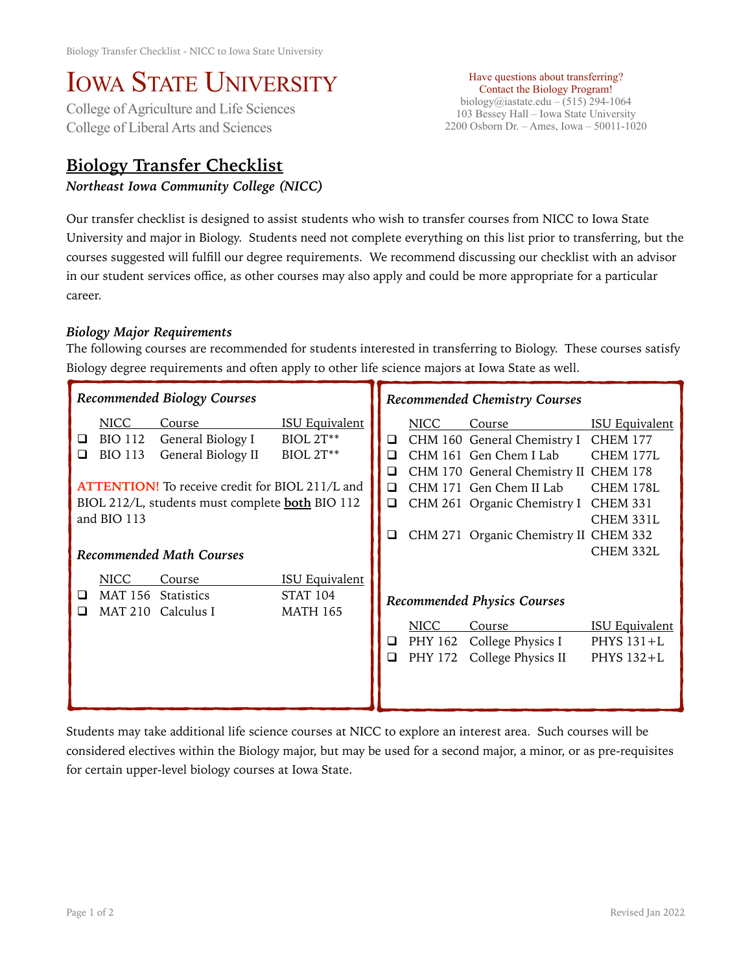## IOWA STATE UNIVERSITY<br>College of Agriculture and Life Sciences

College of Liberal Arts and Sciences

## **Biology Transfer Checklist**

*Northeast Iowa Community College (NICC)* 

Have questions about transferring? Contact the Biology Program! biology@iastate.edu – (515) 294-1064 103 Bessey Hall – Iowa State University 2200 Osborn Dr. – Ames, Iowa – 50011-1020

Our transfer checklist is designed to assist students who wish to transfer courses from NICC to Iowa State University and major in Biology. Students need not complete everything on this list prior to transferring, but the courses suggested will fulfill our degree requirements. We recommend discussing our checklist with an advisor in our student services office, as other courses may also apply and could be more appropriate for a particular career.

## *Biology Major Requirements*

The following courses are recommended for students interested in transferring to Biology. These courses satisfy Biology degree requirements and often apply to other life science majors at Iowa State as well.

| <b>Recommended Biology Courses</b>                                                                                                                                                                                                                                                                                                           |                                          |                                    |                                                             | Recommended Chemistry Courses |                                                                                                                                                                                                    |                                                                                                                                    |                                                     |
|----------------------------------------------------------------------------------------------------------------------------------------------------------------------------------------------------------------------------------------------------------------------------------------------------------------------------------------------|------------------------------------------|------------------------------------|-------------------------------------------------------------|-------------------------------|----------------------------------------------------------------------------------------------------------------------------------------------------------------------------------------------------|------------------------------------------------------------------------------------------------------------------------------------|-----------------------------------------------------|
| <b>ISU Equivalent</b><br><b>NICC</b><br>Course<br><b>BIO 112</b><br>General Biology I<br>$BIOL 2T***$<br>⊔<br>General Biology II<br>$BIOL 2T**$<br><b>BIO 113</b><br>⊔<br><b>ATTENTION!</b> To receive credit for BIOL 211/L and<br>BIOL 212/L, students must complete <b>both</b> BIO 112<br>and BIO 113<br><b>Recommended Math Courses</b> |                                          |                                    | ❏<br>◻<br>□<br>$\Box$<br>□<br>◻                             | NICC                          | Course<br>CHM 160 General Chemistry I<br>CHM 161 Gen Chem I Lab<br>CHM 170 General Chemistry II CHEM 178<br>CHM 171 Gen Chem II Lab<br>CHM 261 Organic Chemistry I<br>CHM 271 Organic Chemistry II | <b>ISU Equivalent</b><br><b>CHEM 177</b><br>CHEM 177L<br>CHEM 178L<br><b>CHEM 331</b><br>CHEM 331L<br><b>CHEM 332</b><br>CHEM 332L |                                                     |
|                                                                                                                                                                                                                                                                                                                                              | <b>NICC</b><br><b>MAT 156</b><br>MAT 210 | Course<br>Statistics<br>Calculus I | <b>ISU Equivalent</b><br><b>STAT 104</b><br><b>MATH 165</b> | $\Box$<br>$\Box$              | <b>NICC</b><br>PHY 162<br>PHY 172                                                                                                                                                                  | <b>Recommended Physics Courses</b><br>Course<br>College Physics I<br>College Physics II                                            | <b>ISU Equivalent</b><br>PHYS $131+L$<br>PHYS 132+L |

Students may take additional life science courses at NICC to explore an interest area. Such courses will be considered electives within the Biology major, but may be used for a second major, a minor, or as pre-requisites for certain upper-level biology courses at Iowa State.